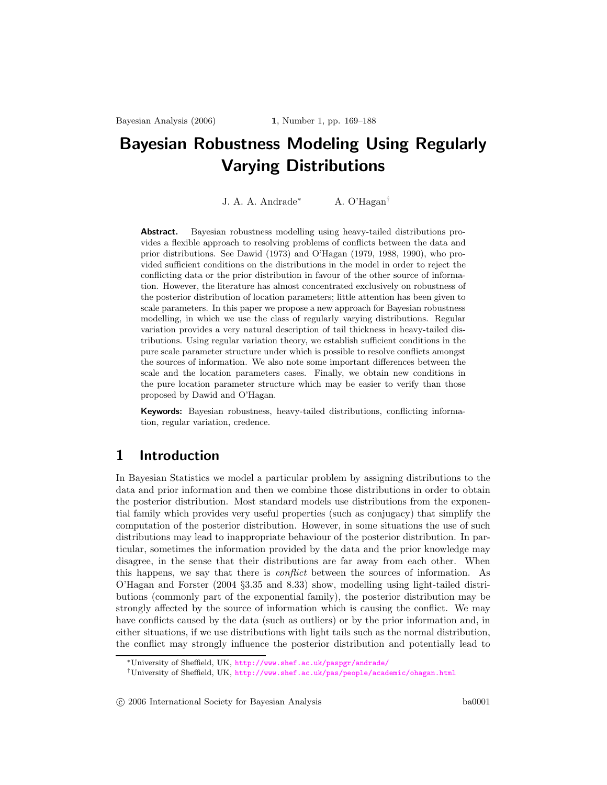# Bayesian Robustness Modeling Using Regularly Varying Distributions

J. A. A. Andrade<sup>∗</sup> A. O'Hagan†

Abstract. Bayesian robustness modelling using heavy-tailed distributions provides a flexible approach to resolving problems of conflicts between the data and prior distributions. See Dawid (1973) and O'Hagan (1979, 1988, 1990), who provided sufficient conditions on the distributions in the model in order to reject the conflicting data or the prior distribution in favour of the other source of information. However, the literature has almost concentrated exclusively on robustness of the posterior distribution of location parameters; little attention has been given to scale parameters. In this paper we propose a new approach for Bayesian robustness modelling, in which we use the class of regularly varying distributions. Regular variation provides a very natural description of tail thickness in heavy-tailed distributions. Using regular variation theory, we establish sufficient conditions in the pure scale parameter structure under which is possible to resolve conflicts amongst the sources of information. We also note some important differences between the scale and the location parameters cases. Finally, we obtain new conditions in the pure location parameter structure which may be easier to verify than those proposed by Dawid and O'Hagan.

Keywords: Bayesian robustness, heavy-tailed distributions, conflicting information, regular variation, credence.

# 1 Introduction

In Bayesian Statistics we model a particular problem by assigning distributions to the data and prior information and then we combine those distributions in order to obtain the posterior distribution. Most standard models use distributions from the exponential family which provides very useful properties (such as conjugacy) that simplify the computation of the posterior distribution. However, in some situations the use of such distributions may lead to inappropriate behaviour of the posterior distribution. In particular, sometimes the information provided by the data and the prior knowledge may disagree, in the sense that their distributions are far away from each other. When this happens, we say that there is conflict between the sources of information. As O'Hagan and Forster (2004 §3.35 and 8.33) show, modelling using light-tailed distributions (commonly part of the exponential family), the posterior distribution may be strongly affected by the source of information which is causing the conflict. We may have conflicts caused by the data (such as outliers) or by the prior information and, in either situations, if we use distributions with light tails such as the normal distribution, the conflict may strongly influence the posterior distribution and potentially lead to

<sup>∗</sup>University of Sheffield, UK, <http://www.shef.ac.uk/paspgr/andrade/>

<sup>†</sup>University of Sheffield, UK, <http://www.shef.ac.uk/pas/people/academic/ohagan.html>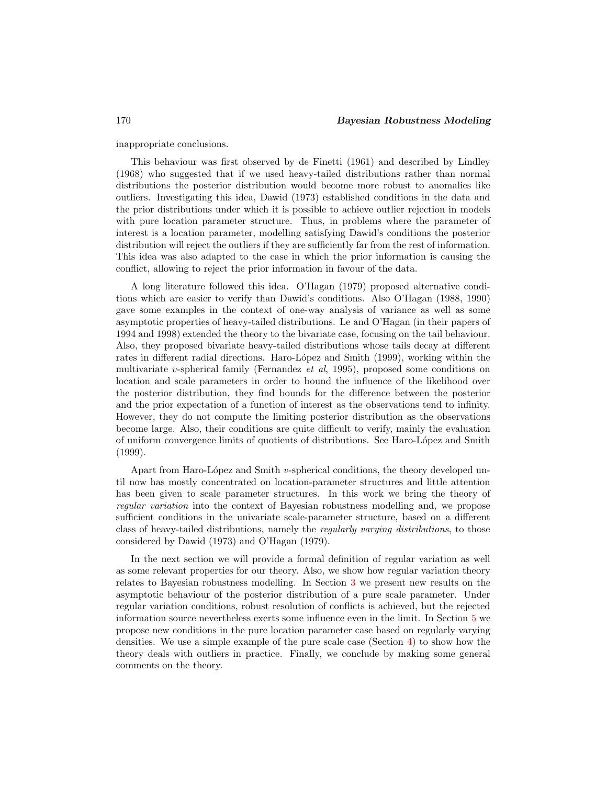inappropriate conclusions.

This behaviour was first observed by de Finetti (1961) and described by Lindley (1968) who suggested that if we used heavy-tailed distributions rather than normal distributions the posterior distribution would become more robust to anomalies like outliers. Investigating this idea, Dawid (1973) established conditions in the data and the prior distributions under which it is possible to achieve outlier rejection in models with pure location parameter structure. Thus, in problems where the parameter of interest is a location parameter, modelling satisfying Dawid's conditions the posterior distribution will reject the outliers if they are sufficiently far from the rest of information. This idea was also adapted to the case in which the prior information is causing the conflict, allowing to reject the prior information in favour of the data.

A long literature followed this idea. O'Hagan (1979) proposed alternative conditions which are easier to verify than Dawid's conditions. Also O'Hagan (1988, 1990) gave some examples in the context of one-way analysis of variance as well as some asymptotic properties of heavy-tailed distributions. Le and O'Hagan (in their papers of 1994 and 1998) extended the theory to the bivariate case, focusing on the tail behaviour. Also, they proposed bivariate heavy-tailed distributions whose tails decay at different rates in different radial directions. Haro-López and Smith (1999), working within the multivariate v-spherical family (Fernandez et  $al$ , 1995), proposed some conditions on location and scale parameters in order to bound the influence of the likelihood over the posterior distribution, they find bounds for the difference between the posterior and the prior expectation of a function of interest as the observations tend to infinity. However, they do not compute the limiting posterior distribution as the observations become large. Also, their conditions are quite difficult to verify, mainly the evaluation of uniform convergence limits of quotients of distributions. See Haro-López and Smith (1999).

Apart from Haro-López and Smith v-spherical conditions, the theory developed until now has mostly concentrated on location-parameter structures and little attention has been given to scale parameter structures. In this work we bring the theory of regular variation into the context of Bayesian robustness modelling and, we propose sufficient conditions in the univariate scale-parameter structure, based on a different class of heavy-tailed distributions, namely the regularly varying distributions, to those considered by Dawid (1973) and O'Hagan (1979).

In the next section we will provide a formal definition of regular variation as well as some relevant properties for our theory. Also, we show how regular variation theory relates to Bayesian robustness modelling. In Section 3 we present new results on the asymptotic behaviour of the posterior distribution of a pure scale parameter. Under regular variation conditions, robust resolution of conflicts is achieved, but the rejected information source nevertheless exerts some influence even in the limit. In Section 5 we propose new conditions in the pure location parameter case based on regularly varying densities. We use a simple example of the pure scale case (Section 4) to show how the theory deals with outliers in practice. Finally, we conclude by making some general comments on the theory.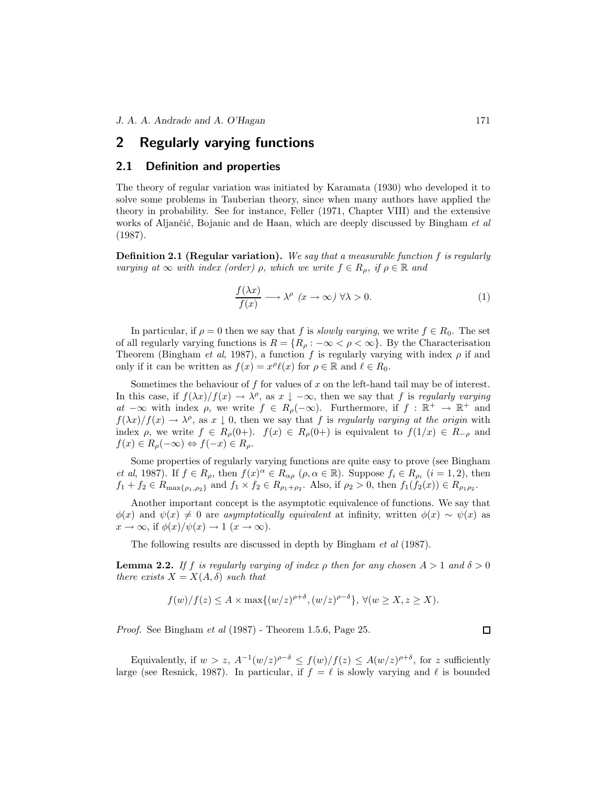# 2 Regularly varying functions

### 2.1 Definition and properties

The theory of regular variation was initiated by Karamata (1930) who developed it to solve some problems in Tauberian theory, since when many authors have applied the theory in probability. See for instance, Feller (1971, Chapter VIII) and the extensive works of Aljančić, Bojanic and de Haan, which are deeply discussed by Bingham et al (1987).

**Definition 2.1 (Regular variation).** We say that a measurable function  $f$  is regularly varying at  $\infty$  with index (order)  $\rho$ , which we write  $f \in R_\rho$ , if  $\rho \in \mathbb{R}$  and

$$
\frac{f(\lambda x)}{f(x)} \longrightarrow \lambda^{\rho} \quad (x \to \infty) \,\forall \lambda > 0. \tag{1}
$$

In particular, if  $\rho = 0$  then we say that f is *slowly varying*, we write  $f \in R_0$ . The set of all regularly varying functions is  $R = \{R_\rho : -\infty < \rho < \infty\}$ . By the Characterisation Theorem (Bingham et al, 1987), a function f is regularly varying with index  $\rho$  if and only if it can be written as  $f(x) = x^{\rho} \ell(x)$  for  $\rho \in \mathbb{R}$  and  $\ell \in R_0$ .

Sometimes the behaviour of f for values of x on the left-hand tail may be of interest. In this case, if  $f(\lambda x)/f(x) \to \lambda^{\rho}$ , as  $x \downarrow -\infty$ , then we say that f is regularly varying at  $-\infty$  with index  $\rho$ , we write  $f \in R_{\rho}(-\infty)$ . Furthermore, if  $f : \mathbb{R}^+ \to \mathbb{R}^+$  and  $f(\lambda x)/f(x) \to \lambda^{\rho}$ , as  $x \downarrow 0$ , then we say that f is regularly varying at the origin with index  $\rho$ , we write  $f \in R_{\rho}(0+)$ .  $f(x) \in R_{\rho}(0+)$  is equivalent to  $f(1/x) \in R_{-\rho}$  and  $f(x) \in R_\rho(-\infty) \Leftrightarrow f(-x) \in R_\rho.$ 

Some properties of regularly varying functions are quite easy to prove (see Bingham *et al*, 1987). If  $f \in R_\rho$ , then  $f(x)^\alpha \in R_{\alpha\rho}$  ( $\rho, \alpha \in \mathbb{R}$ ). Suppose  $f_i \in R_{\rho_i}$  ( $i = 1, 2$ ), then  $f_1 + f_2 \in R_{\max\{\rho_1, \rho_2\}}$  and  $f_1 \times f_2 \in R_{\rho_1 + \rho_2}$ . Also, if  $\rho_2 > 0$ , then  $f_1(f_2(x)) \in R_{\rho_1 \rho_2}$ .

Another important concept is the asymptotic equivalence of functions. We say that  $\phi(x)$  and  $\psi(x) \neq 0$  are asymptotically equivalent at infinity, written  $\phi(x) \sim \psi(x)$  as  $x \to \infty$ , if  $\phi(x)/\psi(x) \to 1$   $(x \to \infty)$ .

The following results are discussed in depth by Bingham et al (1987).

**Lemma 2.2.** If f is regularly varying of index  $\rho$  then for any chosen  $A > 1$  and  $\delta > 0$ there exists  $X = X(A, \delta)$  such that

$$
f(w)/f(z) \le A \times \max\{(w/z)^{\rho+\delta}, (w/z)^{\rho-\delta}\}, \forall (w \ge X, z \ge X).
$$

Proof. See Bingham et al (1987) - Theorem 1.5.6, Page 25.

Equivalently, if  $w > z$ ,  $A^{-1}(w/z)^{\rho-\delta} \le f(w)/f(z) \le A(w/z)^{\rho+\delta}$ , for z sufficiently large (see Resnick, 1987). In particular, if  $f = \ell$  is slowly varying and  $\ell$  is bounded

 $\Box$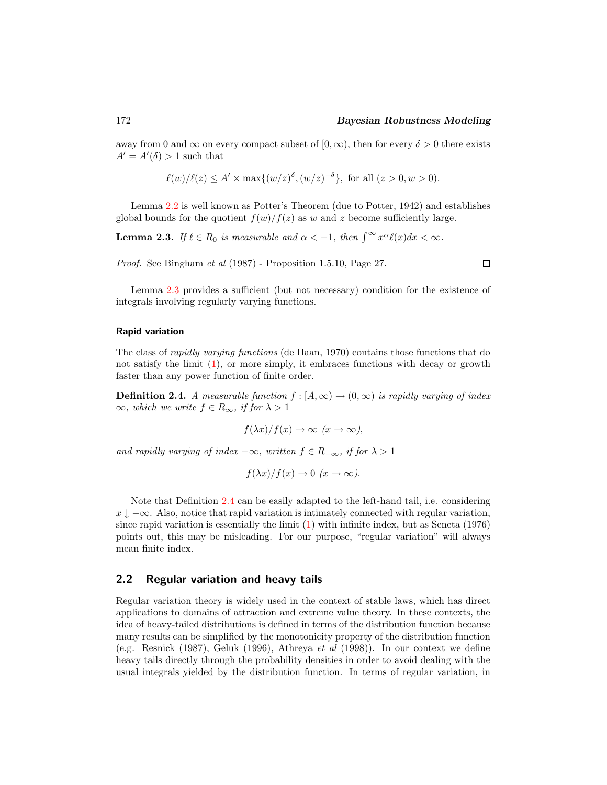$\Box$ 

away from 0 and  $\infty$  on every compact subset of  $[0, \infty)$ , then for every  $\delta > 0$  there exists  $A' = A'(\delta) > 1$  such that

$$
\ell(w)/\ell(z) \leq A' \times \max\{(w/z)^{\delta}, (w/z)^{-\delta}\},
$$
 for all  $(z > 0, w > 0)$ .

Lemma 2.2 is well known as Potter's Theorem (due to Potter, 1942) and establishes global bounds for the quotient  $f(w)/f(z)$  as w and z become sufficiently large.

**Lemma 2.3.** If  $\ell \in R_0$  is measurable and  $\alpha < -1$ , then  $\int^{\infty} x^{\alpha} \ell(x) dx < \infty$ .

Proof. See Bingham et al (1987) - Proposition 1.5.10, Page 27.

Lemma 2.3 provides a sufficient (but not necessary) condition for the existence of integrals involving regularly varying functions.

#### Rapid variation

The class of rapidly varying functions (de Haan, 1970) contains those functions that do not satisfy the limit (1), or more simply, it embraces functions with decay or growth faster than any power function of finite order.

**Definition 2.4.** A measurable function  $f : [A, \infty) \to (0, \infty)$  is rapidly varying of index  $\infty$ , which we write  $f \in R_{\infty}$ , if for  $\lambda > 1$ 

$$
f(\lambda x)/f(x) \to \infty \ (x \to \infty),
$$

and rapidly varying of index  $-\infty$ , written  $f \in R_{-\infty}$ , if for  $\lambda > 1$ 

$$
f(\lambda x)/f(x) \to 0 \ (x \to \infty).
$$

Note that Definition 2.4 can be easily adapted to the left-hand tail, i.e. considering  $x \downarrow -\infty$ . Also, notice that rapid variation is intimately connected with regular variation, since rapid variation is essentially the limit  $(1)$  with infinite index, but as Seneta  $(1976)$ points out, this may be misleading. For our purpose, "regular variation" will always mean finite index.

#### 2.2 Regular variation and heavy tails

Regular variation theory is widely used in the context of stable laws, which has direct applications to domains of attraction and extreme value theory. In these contexts, the idea of heavy-tailed distributions is defined in terms of the distribution function because many results can be simplified by the monotonicity property of the distribution function (e.g. Resnick (1987), Geluk (1996), Athreya et al (1998)). In our context we define heavy tails directly through the probability densities in order to avoid dealing with the usual integrals yielded by the distribution function. In terms of regular variation, in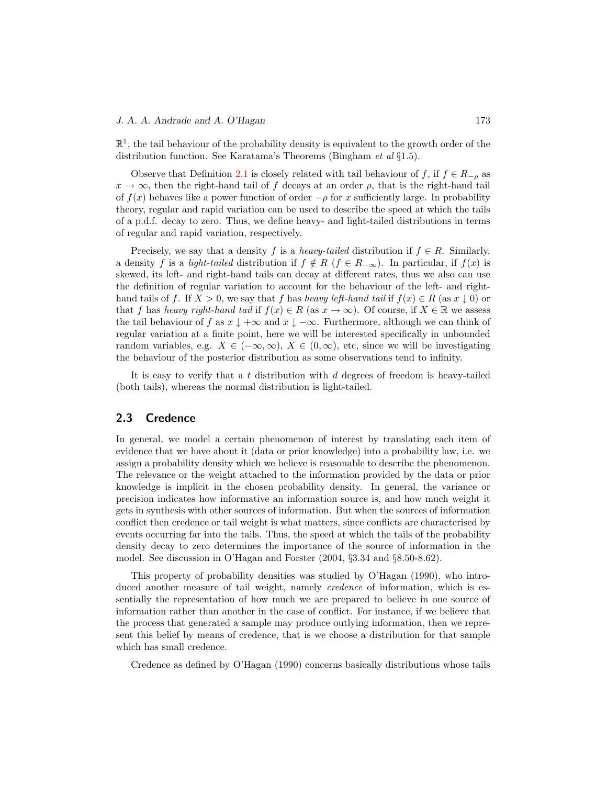$\mathbb{R}^1$ , the tail behaviour of the probability density is equivalent to the growth order of the distribution function. See Karatama's Theorems (Bingham et al §1.5).

Observe that Definition 2.1 is closely related with tail behaviour of f, if  $f \in R_{-\rho}$  as  $x \to \infty$ , then the right-hand tail of f decays at an order  $\rho$ , that is the right-hand tail of  $f(x)$  behaves like a power function of order  $-\rho$  for x sufficiently large. In probability theory, regular and rapid variation can be used to describe the speed at which the tails of a p.d.f. decay to zero. Thus, we define heavy- and light-tailed distributions in terms of regular and rapid variation, respectively.

Precisely, we say that a density f is a heavy-tailed distribution if  $f \in R$ . Similarly, a density f is a *light-tailed* distribution if  $f \notin R$  ( $f \in R_{-\infty}$ ). In particular, if  $f(x)$  is skewed, its left- and right-hand tails can decay at different rates, thus we also can use the definition of regular variation to account for the behaviour of the left- and righthand tails of f. If  $X > 0$ , we say that f has heavy left-hand tail if  $f(x) \in R$  (as  $x \downarrow 0$ ) or that f has heavy right-hand tail if  $f(x) \in R$  (as  $x \to \infty$ ). Of course, if  $X \in \mathbb{R}$  we assess the tail behaviour of f as  $x \downarrow +\infty$  and  $x \downarrow -\infty$ . Furthermore, although we can think of regular variation at a finite point, here we will be interested specifically in unbounded random variables, e.g.  $X \in (-\infty, \infty)$ ,  $X \in (0, \infty)$ , etc, since we will be investigating the behaviour of the posterior distribution as some observations tend to infinity.

It is easy to verify that a  $t$  distribution with  $d$  degrees of freedom is heavy-tailed (both tails), whereas the normal distribution is light-tailed.

### 2.3 Credence

In general, we model a certain phenomenon of interest by translating each item of evidence that we have about it (data or prior knowledge) into a probability law, i.e. we assign a probability density which we believe is reasonable to describe the phenomenon. The relevance or the weight attached to the information provided by the data or prior knowledge is implicit in the chosen probability density. In general, the variance or precision indicates how informative an information source is, and how much weight it gets in synthesis with other sources of information. But when the sources of information conflict then credence or tail weight is what matters, since conflicts are characterised by events occurring far into the tails. Thus, the speed at which the tails of the probability density decay to zero determines the importance of the source of information in the model. See discussion in O'Hagan and Forster (2004, §3.34 and §8.50-8.62).

This property of probability densities was studied by O'Hagan (1990), who introduced another measure of tail weight, namely *credence* of information, which is essentially the representation of how much we are prepared to believe in one source of information rather than another in the case of conflict. For instance, if we believe that the process that generated a sample may produce outlying information, then we represent this belief by means of credence, that is we choose a distribution for that sample which has small credence.

Credence as defined by O'Hagan (1990) concerns basically distributions whose tails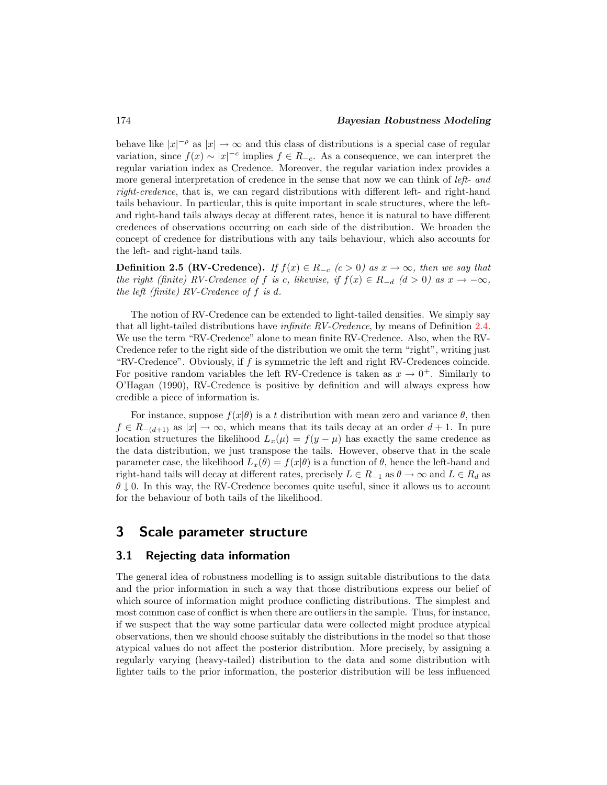behave like  $|x|^{-\rho}$  as  $|x| \to \infty$  and this class of distributions is a special case of regular variation, since  $f(x) \sim |x|^{-c}$  implies  $f \in R_{-c}$ . As a consequence, we can interpret the regular variation index as Credence. Moreover, the regular variation index provides a more general interpretation of credence in the sense that now we can think of *left- and* right-credence, that is, we can regard distributions with different left- and right-hand tails behaviour. In particular, this is quite important in scale structures, where the leftand right-hand tails always decay at different rates, hence it is natural to have different credences of observations occurring on each side of the distribution. We broaden the concept of credence for distributions with any tails behaviour, which also accounts for the left- and right-hand tails.

**Definition 2.5 (RV-Credence).** If  $f(x) \in R_{-c}$  (c > 0) as  $x \to \infty$ , then we say that the right (finite) RV-Credence of f is c, likewise, if  $f(x) \in R_{-d}$   $(d > 0)$  as  $x \to -\infty$ , the left (finite)  $RV$ -Credence of f is d.

The notion of RV-Credence can be extended to light-tailed densities. We simply say that all light-tailed distributions have infinite RV-Credence, by means of Definition 2.4. We use the term "RV-Credence" alone to mean finite RV-Credence. Also, when the RV-Credence refer to the right side of the distribution we omit the term "right", writing just "RV-Credence". Obviously, if f is symmetric the left and right RV-Credences coincide. For positive random variables the left RV-Credence is taken as  $x \to 0^+$ . Similarly to O'Hagan (1990), RV-Credence is positive by definition and will always express how credible a piece of information is.

For instance, suppose  $f(x|\theta)$  is a t distribution with mean zero and variance  $\theta$ , then  $f \in R_{-(d+1)}$  as  $|x| \to \infty$ , which means that its tails decay at an order  $d+1$ . In pure location structures the likelihood  $L_x(\mu) = f(y - \mu)$  has exactly the same credence as the data distribution, we just transpose the tails. However, observe that in the scale parameter case, the likelihood  $L_x(\theta) = f(x|\theta)$  is a function of  $\theta$ , hence the left-hand and right-hand tails will decay at different rates, precisely  $L \in R_{-1}$  as  $\theta \to \infty$  and  $L \in R_d$  as  $\theta \downarrow 0$ . In this way, the RV-Credence becomes quite useful, since it allows us to account for the behaviour of both tails of the likelihood.

## 3 Scale parameter structure

### 3.1 Rejecting data information

The general idea of robustness modelling is to assign suitable distributions to the data and the prior information in such a way that those distributions express our belief of which source of information might produce conflicting distributions. The simplest and most common case of conflict is when there are outliers in the sample. Thus, for instance, if we suspect that the way some particular data were collected might produce atypical observations, then we should choose suitably the distributions in the model so that those atypical values do not affect the posterior distribution. More precisely, by assigning a regularly varying (heavy-tailed) distribution to the data and some distribution with lighter tails to the prior information, the posterior distribution will be less influenced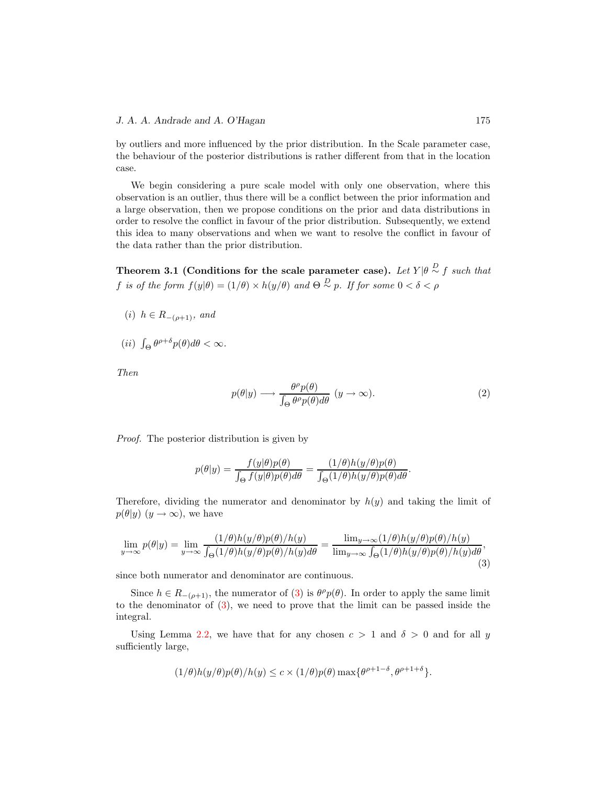by outliers and more influenced by the prior distribution. In the Scale parameter case, the behaviour of the posterior distributions is rather different from that in the location case.

We begin considering a pure scale model with only one observation, where this observation is an outlier, thus there will be a conflict between the prior information and a large observation, then we propose conditions on the prior and data distributions in order to resolve the conflict in favour of the prior distribution. Subsequently, we extend this idea to many observations and when we want to resolve the conflict in favour of the data rather than the prior distribution.

Theorem 3.1 (Conditions for the scale parameter case). Let Y $|\theta\ ^{\mathrel{D}}\sigma\ ^{f}$  such that f is of the form  $f(y|\theta) = (1/\theta) \times h(y/\theta)$  and  $\Theta \stackrel{D}{\sim} p$ . If for some  $0 < \delta < \rho$ 

- (i)  $h \in R_{-(\rho+1)}$ , and
- (*ii*)  $\int_{\Theta} \theta^{\rho+\delta} p(\theta) d\theta < \infty$ .

Then

$$
p(\theta|y) \longrightarrow \frac{\theta^{\rho} p(\theta)}{\int_{\Theta} \theta^{\rho} p(\theta) d\theta} \ (y \to \infty).
$$
 (2)

Proof. The posterior distribution is given by

$$
p(\theta|y) = \frac{f(y|\theta)p(\theta)}{\int_{\Theta} f(y|\theta)p(\theta)d\theta} = \frac{(1/\theta)h(y/\theta)p(\theta)}{\int_{\Theta}(1/\theta)h(y/\theta)p(\theta)d\theta}.
$$

Therefore, dividing the numerator and denominator by  $h(y)$  and taking the limit of  $p(\theta|y)$   $(y \rightarrow \infty)$ , we have

$$
\lim_{y \to \infty} p(\theta|y) = \lim_{y \to \infty} \frac{(1/\theta)h(y/\theta)p(\theta)/h(y)}{\int_{\Theta} (1/\theta)h(y/\theta)p(\theta)/h(y)d\theta} = \frac{\lim_{y \to \infty} (1/\theta)h(y/\theta)p(\theta)/h(y)}{\lim_{y \to \infty} \int_{\Theta} (1/\theta)h(y/\theta)p(\theta)/h(y)d\theta},\tag{3}
$$

since both numerator and denominator are continuous.

Since  $h \in R_{-(\rho+1)}$ , the numerator of (3) is  $\theta^{\rho} p(\theta)$ . In order to apply the same limit to the denominator of (3), we need to prove that the limit can be passed inside the integral.

Using Lemma 2.2, we have that for any chosen  $c > 1$  and  $\delta > 0$  and for all y sufficiently large,

$$
(1/\theta)h(y/\theta)p(\theta)/h(y) \le c \times (1/\theta)p(\theta) \max\{\theta^{\rho+1-\delta}, \theta^{\rho+1+\delta}\}.
$$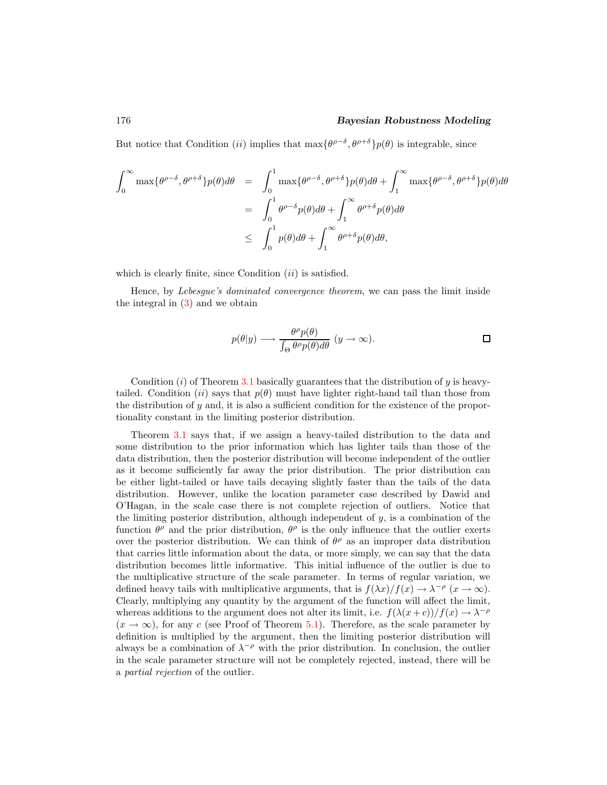#### 176 Bayesian Robustness Modeling

But notice that Condition (ii) implies that  $\max\{\theta^{\rho-\delta}, \theta^{\rho+\delta}\}p(\theta)$  is integrable, since

$$
\int_0^\infty \max\{\theta^{\rho-\delta}, \theta^{\rho+\delta}\} p(\theta) d\theta = \int_0^1 \max\{\theta^{\rho-\delta}, \theta^{\rho+\delta}\} p(\theta) d\theta + \int_1^\infty \max\{\theta^{\rho-\delta}, \theta^{\rho+\delta}\} p(\theta) d\theta
$$

$$
= \int_0^1 \theta^{\rho-\delta} p(\theta) d\theta + \int_1^\infty \theta^{\rho+\delta} p(\theta) d\theta
$$

$$
\leq \int_0^1 p(\theta) d\theta + \int_1^\infty \theta^{\rho+\delta} p(\theta) d\theta,
$$

which is clearly finite, since Condition  $(ii)$  is satisfied.

Hence, by Lebesgue's dominated convergence theorem, we can pass the limit inside the integral in (3) and we obtain

$$
p(\theta|y) \longrightarrow \frac{\theta^{\rho} p(\theta)}{\int_{\Theta} \theta^{\rho} p(\theta) d\theta} \ (y \to \infty).
$$

Condition  $(i)$  of Theorem 3.1 basically guarantees that the distribution of y is heavytailed. Condition (ii) says that  $p(\theta)$  must have lighter right-hand tail than those from the distribution of  $\eta$  and, it is also a sufficient condition for the existence of the proportionality constant in the limiting posterior distribution.

Theorem 3.1 says that, if we assign a heavy-tailed distribution to the data and some distribution to the prior information which has lighter tails than those of the data distribution, then the posterior distribution will become independent of the outlier as it become sufficiently far away the prior distribution. The prior distribution can be either light-tailed or have tails decaying slightly faster than the tails of the data distribution. However, unlike the location parameter case described by Dawid and O'Hagan, in the scale case there is not complete rejection of outliers. Notice that the limiting posterior distribution, although independent of  $y$ , is a combination of the function  $\theta^{\rho}$  and the prior distribution,  $\theta^{\rho}$  is the only influence that the outlier exerts over the posterior distribution. We can think of  $\theta^{\rho}$  as an improper data distribution that carries little information about the data, or more simply, we can say that the data distribution becomes little informative. This initial influence of the outlier is due to the multiplicative structure of the scale parameter. In terms of regular variation, we defined heavy tails with multiplicative arguments, that is  $f(\lambda x)/f(x) \to \lambda^{-\rho}$   $(x \to \infty)$ . Clearly, multiplying any quantity by the argument of the function will affect the limit, whereas additions to the argument does not alter its limit, i.e.  $f(\lambda(x+c))/f(x) \to \lambda^{-\rho}$  $(x \to \infty)$ , for any c (see Proof of Theorem 5.1). Therefore, as the scale parameter by definition is multiplied by the argument, then the limiting posterior distribution will always be a combination of  $\lambda^{-\rho}$  with the prior distribution. In conclusion, the outlier in the scale parameter structure will not be completely rejected, instead, there will be a partial rejection of the outlier.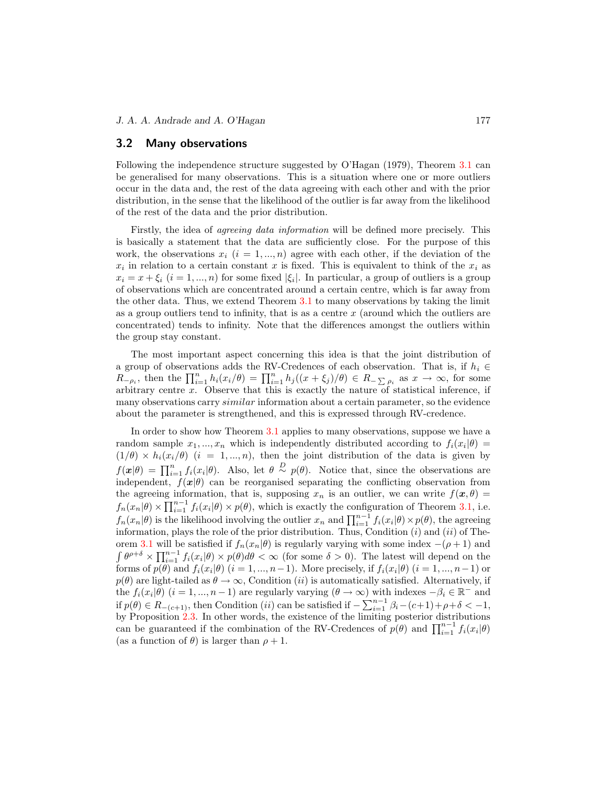#### 3.2 Many observations

Following the independence structure suggested by O'Hagan (1979), Theorem 3.1 can be generalised for many observations. This is a situation where one or more outliers occur in the data and, the rest of the data agreeing with each other and with the prior distribution, in the sense that the likelihood of the outlier is far away from the likelihood of the rest of the data and the prior distribution.

Firstly, the idea of agreeing data information will be defined more precisely. This is basically a statement that the data are sufficiently close. For the purpose of this work, the observations  $x_i$   $(i = 1, ..., n)$  agree with each other, if the deviation of the  $x_i$  in relation to a certain constant x is fixed. This is equivalent to think of the  $x_i$  as  $x_i = x + \xi_i$   $(i = 1, ..., n)$  for some fixed  $|\xi_i|$ . In particular, a group of outliers is a group of observations which are concentrated around a certain centre, which is far away from the other data. Thus, we extend Theorem 3.1 to many observations by taking the limit as a group outliers tend to infinity, that is as a centre  $x$  (around which the outliers are concentrated) tends to infinity. Note that the differences amongst the outliers within the group stay constant.

The most important aspect concerning this idea is that the joint distribution of a group of observations adds the RV-Credences of each observation. That is, if  $h_i \in$  $R_{-\rho_i}$ , then the  $\prod_{i=1}^n h_i(x_i/\theta) = \prod_{i=1}^n h_j((x+\xi_j)/\theta) \in R_{-\sum \rho_i}$  as  $x \to \infty$ , for some arbitrary centre  $x$ . Observe that this is exactly the nature of statistical inference, if many observations carry *similar* information about a certain parameter, so the evidence about the parameter is strengthened, and this is expressed through RV-credence.

In order to show how Theorem 3.1 applies to many observations, suppose we have a random sample  $x_1, ..., x_n$  which is independently distributed according to  $f_i(x_i|\theta) =$  $(1/\theta) \times h_i(x_i/\theta)$   $(i = 1, ..., n)$ , then the joint distribution of the data is given by  $f(\boldsymbol{x}|\theta) = \prod_{i=1}^n f_i(x_i|\theta)$ . Also, let  $\theta \stackrel{D}{\sim} p(\theta)$ . Notice that, since the observations are independent,  $f(x|\theta)$  can be reorganised separating the conflicting observation from the agreeing information, that is, supposing  $x_n$  is an outlier, we can write  $f(x, \theta) =$  $f_n(x_n|\theta) \times \prod_{i=1}^{n-1} f_i(x_i|\theta) \times p(\theta)$ , which is exactly the configuration of Theorem 3.1, i.e.  $f_n(x_n|\theta)$  is the likelihood involving the outlier  $x_n$  and  $\prod_{i=1}^{n-1} f_i(x_i|\theta) \times p(\theta)$ , the agreeing information, plays the role of the prior distribution. Thus, Condition  $(i)$  and  $(ii)$  of Theorem 3.1 will be satisfied if  $f_n(x_n|\theta)$  is regularly varying with some index  $-(\rho+1)$  and  $\int \theta^{\rho+\delta} \times \prod_{i=1}^{n-1} f_i(x_i|\theta) \times p(\theta) d\theta < \infty$  (for some  $\delta > 0$ ). The latest will depend on the forms of  $p(\theta)$  and  $f_i(x_i|\theta)$   $(i = 1, ..., n-1)$ . More precisely, if  $f_i(x_i|\theta)$   $(i = 1, ..., n-1)$  or  $p(\theta)$  are light-tailed as  $\theta \to \infty$ , Condition *(ii)* is automatically satisfied. Alternatively, if the  $f_i(x_i|\theta)$   $(i = 1, ..., n-1)$  are regularly varying  $(\theta \to \infty)$  with indexes  $-\beta_i \in \mathbb{R}^-$  and if  $p(\theta) \in R_{-(c+1)}$ , then Condition (*ii*) can be satisfied if  $-\sum_{i=1}^{n-1} \beta_i - (c+1) + \rho + \delta < -1$ , by Proposition 2.3. In other words, the existence of the limiting posterior distributions can be guaranteed if the combination of the RV-Credences of  $p(\theta)$  and  $\prod_{i=1}^{n-1} f_i(x_i|\theta)$ (as a function of  $\theta$ ) is larger than  $\rho + 1$ .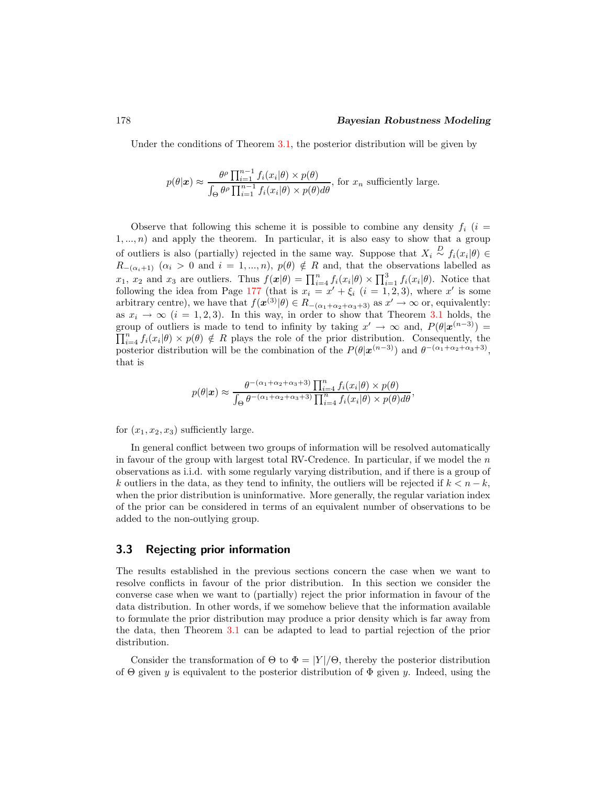#### 178 Bayesian Robustness Modeling

Under the conditions of Theorem 3.1, the posterior distribution will be given by

$$
p(\theta|\boldsymbol{x}) \approx \frac{\theta^{\rho} \prod_{i=1}^{n-1} f_i(x_i|\theta) \times p(\theta)}{\int_{\Theta} \theta^{\rho} \prod_{i=1}^{n-1} f_i(x_i|\theta) \times p(\theta) d\theta},
$$
 for  $x_n$  sufficiently large.

Observe that following this scheme it is possible to combine any density  $f_i$  (i =  $1, \ldots, n$  and apply the theorem. In particular, it is also easy to show that a group of outliers is also (partially) rejected in the same way. Suppose that  $X_i \stackrel{D}{\sim} f_i(x_i|\theta) \in$  $R_{-(\alpha_i+1)}$   $(\alpha_i > 0 \text{ and } i = 1, ..., n), p(\theta) \notin R$  and, that the observations labelled as  $x_1, x_2$  and  $x_3$  are outliers. Thus  $f(\mathbf{x}|\theta) = \prod_{i=4}^n f_i(x_i|\theta) \times \prod_{i=1}^3 f_i(x_i|\theta)$ . Notice that following the idea from Page 177 (that is  $x_i = x' + \xi_i$   $(i = 1, 2, 3)$ , where x' is some arbitrary centre), we have that  $f(\mathbf{x}^{(3)}|\theta) \in R_{-(\alpha_1+\alpha_2+\alpha_3+3)}$  as  $x' \to \infty$  or, equivalently: as  $x_i \rightarrow \infty$   $(i = 1, 2, 3)$ . In this way, in order to show that Theorem 3.1 holds, the group of outliers is made to tend to infinity by taking  $x' \to \infty$  and,  $P(\theta|\mathbf{x}^{(n-3)}) =$  $\prod_{i=4}^{n} f_i(x_i|\theta) \times p(\theta) \notin R$  plays the role of the prior distribution. Consequently, the posterior distribution will be the combination of the  $P(\theta|\mathbf{x}^{(n-3)})$  and  $\theta^{-(\alpha_1+\alpha_2+\alpha_3+3)}$ , that is

$$
p(\theta|\boldsymbol{x}) \approx \frac{\theta^{-(\alpha_1+\alpha_2+\alpha_3+3)} \prod_{i=4}^n f_i(x_i|\theta) \times p(\theta)}{\int_{\Theta} \theta^{-(\alpha_1+\alpha_2+\alpha_3+3)} \prod_{i=4}^n f_i(x_i|\theta) \times p(\theta) d\theta},
$$

for  $(x_1, x_2, x_3)$  sufficiently large.

In general conflict between two groups of information will be resolved automatically in favour of the group with largest total RV-Credence. In particular, if we model the  $n$ observations as i.i.d. with some regularly varying distribution, and if there is a group of k outliers in the data, as they tend to infinity, the outliers will be rejected if  $k < n - k$ , when the prior distribution is uninformative. More generally, the regular variation index of the prior can be considered in terms of an equivalent number of observations to be added to the non-outlying group.

### 3.3 Rejecting prior information

The results established in the previous sections concern the case when we want to resolve conflicts in favour of the prior distribution. In this section we consider the converse case when we want to (partially) reject the prior information in favour of the data distribution. In other words, if we somehow believe that the information available to formulate the prior distribution may produce a prior density which is far away from the data, then Theorem 3.1 can be adapted to lead to partial rejection of the prior distribution.

Consider the transformation of  $\Theta$  to  $\Phi = |Y|/\Theta$ , thereby the posterior distribution of  $\Theta$  given y is equivalent to the posterior distribution of  $\Phi$  given y. Indeed, using the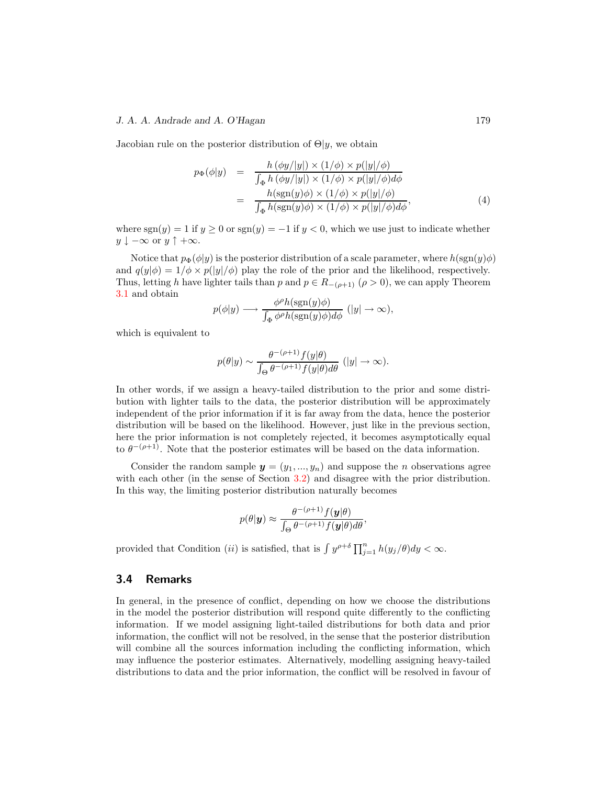Jacobian rule on the posterior distribution of  $\Theta |y|$ , we obtain

$$
p_{\Phi}(\phi|y) = \frac{h(\phi y/|y|) \times (1/\phi) \times p(|y|/\phi)}{\int_{\Phi} h(\phi y/|y|) \times (1/\phi) \times p(|y|/\phi)d\phi}
$$
  
= 
$$
\frac{h(\text{sgn}(y)\phi) \times (1/\phi) \times p(|y|/\phi)}{\int_{\Phi} h(\text{sgn}(y)\phi) \times (1/\phi) \times p(|y|/\phi)d\phi},
$$
(4)

where  $sgn(y) = 1$  if  $y \ge 0$  or  $sgn(y) = -1$  if  $y < 0$ , which we use just to indicate whether  $y \downarrow -\infty$  or  $y \uparrow +\infty$ .

Notice that  $p_{\Phi}(\phi|y)$  is the posterior distribution of a scale parameter, where  $h(\text{sgn}(y)\phi)$ and  $q(y|\phi) = 1/\phi \times p(|y|/\phi)$  play the role of the prior and the likelihood, respectively. Thus, letting h have lighter tails than p and  $p \in R_{-(\rho+1)}$   $(\rho > 0)$ , we can apply Theorem 3.1 and obtain

$$
p(\phi|y) \longrightarrow \frac{\phi^{\rho}h(\text{sgn}(y)\phi)}{\int_{\Phi} \phi^{\rho}h(\text{sgn}(y)\phi)d\phi} (|y| \to \infty),
$$

which is equivalent to

$$
p(\theta|y) \sim \frac{\theta^{-(\rho+1)} f(y|\theta)}{\int_{\Theta} \theta^{-(\rho+1)} f(y|\theta) d\theta} (|y| \to \infty).
$$

In other words, if we assign a heavy-tailed distribution to the prior and some distribution with lighter tails to the data, the posterior distribution will be approximately independent of the prior information if it is far away from the data, hence the posterior distribution will be based on the likelihood. However, just like in the previous section, here the prior information is not completely rejected, it becomes asymptotically equal to  $\theta^{-(\rho+1)}$ . Note that the posterior estimates will be based on the data information.

Consider the random sample  $y = (y_1, ..., y_n)$  and suppose the *n* observations agree with each other (in the sense of Section 3.2) and disagree with the prior distribution. In this way, the limiting posterior distribution naturally becomes

$$
p(\theta|\mathbf{y}) \approx \frac{\theta^{-(\rho+1)} f(\mathbf{y}|\theta)}{\int_{\Theta} \theta^{-(\rho+1)} f(\mathbf{y}|\theta) d\theta}
$$

,

provided that Condition (*ii*) is satisfied, that is  $\int y^{\rho+\delta} \prod_{j=1}^n h(y_j/\theta) dy < \infty$ .

#### 3.4 Remarks

In general, in the presence of conflict, depending on how we choose the distributions in the model the posterior distribution will respond quite differently to the conflicting information. If we model assigning light-tailed distributions for both data and prior information, the conflict will not be resolved, in the sense that the posterior distribution will combine all the sources information including the conflicting information, which may influence the posterior estimates. Alternatively, modelling assigning heavy-tailed distributions to data and the prior information, the conflict will be resolved in favour of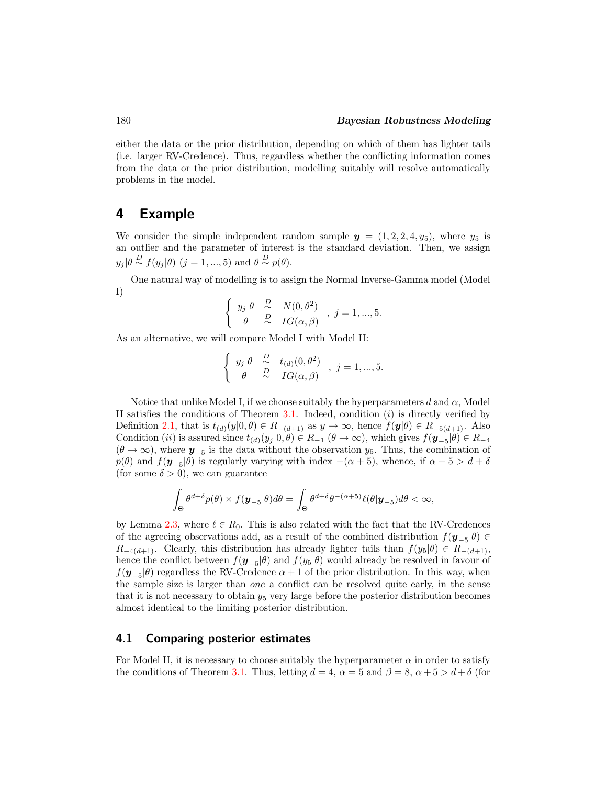either the data or the prior distribution, depending on which of them has lighter tails (i.e. larger RV-Credence). Thus, regardless whether the conflicting information comes from the data or the prior distribution, modelling suitably will resolve automatically problems in the model.

# 4 Example

We consider the simple independent random sample  $y = (1, 2, 2, 4, y_5)$ , where  $y_5$  is an outlier and the parameter of interest is the standard deviation. Then, we assign  $y_j | \theta \stackrel{D}{\sim} f(y_j | \theta)$   $(j = 1, ..., 5)$  and  $\theta \stackrel{D}{\sim} p(\theta)$ .

One natural way of modelling is to assign the Normal Inverse-Gamma model (Model I)

$$
\begin{cases}\ny_j|\theta \quad \stackrel{D}{\sim} \quad N(0,\theta^2) \\
\theta \quad \stackrel{D}{\sim} \quad IG(\alpha,\beta)\n\end{cases}, j = 1,...,5.
$$

As an alternative, we will compare Model I with Model II:

$$
\begin{cases}\ny_j|\theta \quad \mathcal{L} \quad t_{(d)}(0,\theta^2) \\
\theta \quad \mathcal{L} \quad IG(\alpha,\beta)\n\end{cases}, j = 1,...,5.
$$

Notice that unlike Model I, if we choose suitably the hyperparameters d and  $\alpha$ , Model II satisfies the conditions of Theorem 3.1. Indeed, condition  $(i)$  is directly verified by Definition 2.1, that is  $t_{(d)}(y|0, \theta) \in R_{-(d+1)}$  as  $y \to \infty$ , hence  $f(\mathbf{y}|\theta) \in R_{-5(d+1)}$ . Also Condition (*ii*) is assured since  $t_{(d)}(y_j | 0, \theta) \in R_{-1}$  ( $\theta \to \infty$ ), which gives  $f(\mathbf{y}_{-5} | \theta) \in R_{-4}$  $(\theta \to \infty)$ , where  $\mathbf{y}_{-5}$  is the data without the observation y<sub>5</sub>. Thus, the combination of  $p(\theta)$  and  $f(\mathbf{y}_{-5}|\theta)$  is regularly varying with index  $-(\alpha+5)$ , whence, if  $\alpha+5 > d+\delta$ (for some  $\delta > 0$ ), we can guarantee

$$
\int_{\Theta} \theta^{d+\delta} p(\theta) \times f(\mathbf{y}_{-5}|\theta) d\theta = \int_{\Theta} \theta^{d+\delta} \theta^{-(\alpha+5)} \ell(\theta | \mathbf{y}_{-5}) d\theta < \infty,
$$

by Lemma 2.3, where  $\ell \in R_0$ . This is also related with the fact that the RV-Credences of the agreeing observations add, as a result of the combined distribution  $f(\mathbf{y}_{-5}|\theta) \in$  $R_{-4(d+1)}$ . Clearly, this distribution has already lighter tails than  $f(y_5|\theta) \in R_{-(d+1)}$ , hence the conflict between  $f(\mathbf{y}_{-5}|\theta)$  and  $f(y_5|\theta)$  would already be resolved in favour of  $f(\mathbf{y}_{-5}|\theta)$  regardless the RV-Credence  $\alpha + 1$  of the prior distribution. In this way, when the sample size is larger than one a conflict can be resolved quite early, in the sense that it is not necessary to obtain  $y_5$  very large before the posterior distribution becomes almost identical to the limiting posterior distribution.

#### 4.1 Comparing posterior estimates

For Model II, it is necessary to choose suitably the hyperparameter  $\alpha$  in order to satisfy the conditions of Theorem 3.1. Thus, letting  $d = 4$ ,  $\alpha = 5$  and  $\beta = 8$ ,  $\alpha + 5 > d + \delta$  (for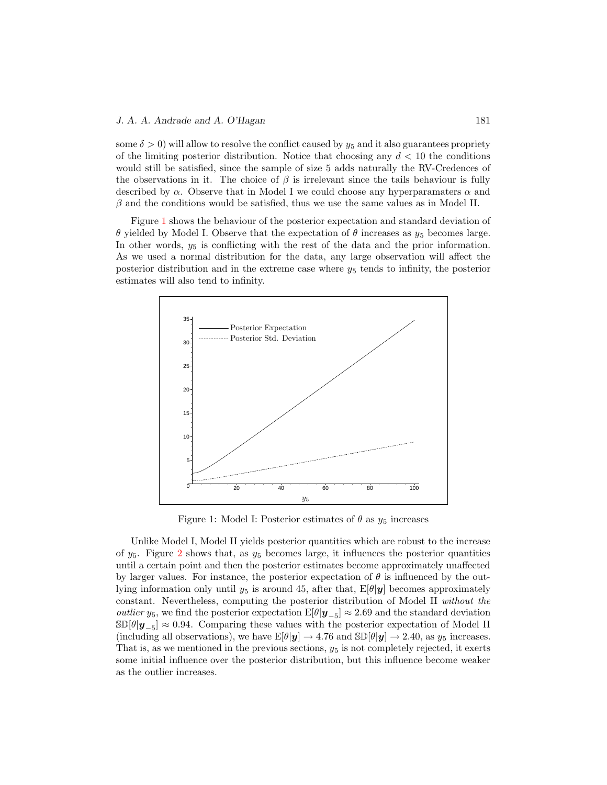some  $\delta > 0$ ) will allow to resolve the conflict caused by  $y_5$  and it also guarantees propriety of the limiting posterior distribution. Notice that choosing any  $d < 10$  the conditions would still be satisfied, since the sample of size 5 adds naturally the RV-Credences of the observations in it. The choice of  $\beta$  is irrelevant since the tails behaviour is fully described by  $\alpha$ . Observe that in Model I we could choose any hyperparamaters  $\alpha$  and  $\beta$  and the conditions would be satisfied, thus we use the same values as in Model II.

Figure 1 shows the behaviour of the posterior expectation and standard deviation of θ yielded by Model I. Observe that the expectation of θ increases as y<sup>5</sup> becomes large. In other words,  $y_5$  is conflicting with the rest of the data and the prior information. As we used a normal distribution for the data, any large observation will affect the posterior distribution and in the extreme case where  $y_5$  tends to infinity, the posterior estimates will also tend to infinity.



Figure 1: Model I: Posterior estimates of  $\theta$  as  $y_5$  increases

Unlike Model I, Model II yields posterior quantities which are robust to the increase of  $y_5$ . Figure 2 shows that, as  $y_5$  becomes large, it influences the posterior quantities until a certain point and then the posterior estimates become approximately unaffected by larger values. For instance, the posterior expectation of  $\theta$  is influenced by the outlying information only until  $y_5$  is around 45, after that,  $E[\theta | y]$  becomes approximately constant. Nevertheless, computing the posterior distribution of Model II without the *outlier*  $y_5$ , we find the posterior expectation  $E[\theta | \mathbf{y}_{-5}] \approx 2.69$  and the standard deviation  $\mathbb{S}\mathbb{D}[\theta|\mathbf{y}_{-5}] \approx 0.94$ . Comparing these values with the posterior expectation of Model II (including all observations), we have  $E[\theta|\mathbf{y}] \to 4.76$  and  $\mathbb{SD}[\theta|\mathbf{y}] \to 2.40$ , as  $y_5$  increases. That is, as we mentioned in the previous sections,  $y_5$  is not completely rejected, it exerts some initial influence over the posterior distribution, but this influence become weaker as the outlier increases.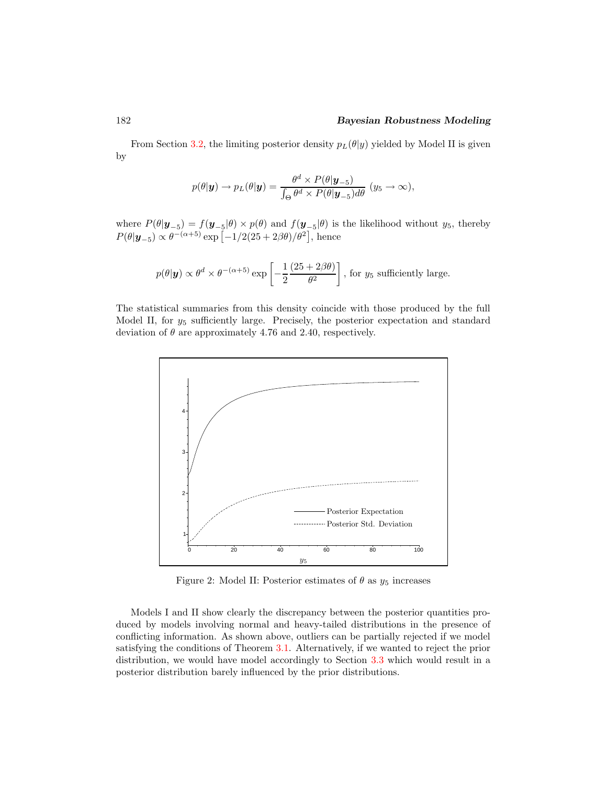#### 182 Bayesian Robustness Modeling

From Section 3.2, the limiting posterior density  $p_L(\theta|y)$  yielded by Model II is given by

$$
p(\theta|\mathbf{y}) \to p_L(\theta|\mathbf{y}) = \frac{\theta^d \times P(\theta|\mathbf{y}_{-5})}{\int_{\Theta} \theta^d \times P(\theta|\mathbf{y}_{-5}) d\theta} \ (y_5 \to \infty),
$$

where  $P(\theta|\mathbf{y}_{-5}) = f(\mathbf{y}_{-5}|\theta) \times p(\theta)$  and  $f(\mathbf{y}_{-5}|\theta)$  is the likelihood without  $y_5$ , thereby  $P(\theta|\mathbf{y}_{-5}) \propto \theta^{-(\alpha+5)} \exp \left[-1/2(25+2\beta\theta)/\theta^2\right],$  hence

$$
p(\theta|\mathbf{y}) \propto \theta^d \times \theta^{-(\alpha+5)} \exp\left[-\frac{1}{2} \frac{(25+2\beta\theta)}{\theta^2}\right]
$$
, for  $y_5$  sufficiently large.

The statistical summaries from this density coincide with those produced by the full Model II, for  $y_5$  sufficiently large. Precisely, the posterior expectation and standard deviation of  $\theta$  are approximately 4.76 and 2.40, respectively.



Figure 2: Model II: Posterior estimates of  $\theta$  as  $y_5$  increases

Models I and II show clearly the discrepancy between the posterior quantities produced by models involving normal and heavy-tailed distributions in the presence of conflicting information. As shown above, outliers can be partially rejected if we model satisfying the conditions of Theorem 3.1. Alternatively, if we wanted to reject the prior distribution, we would have model accordingly to Section 3.3 which would result in a posterior distribution barely influenced by the prior distributions.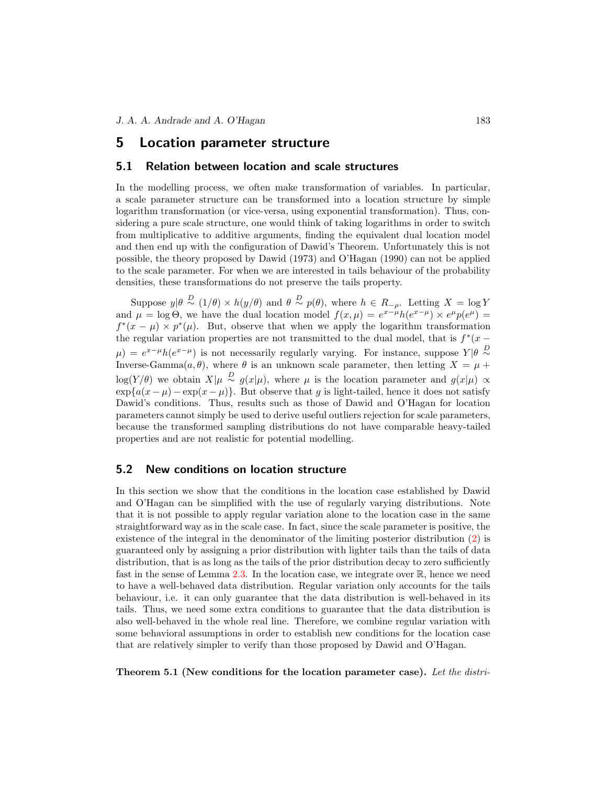## 5 Location parameter structure

#### 5.1 Relation between location and scale structures

In the modelling process, we often make transformation of variables. In particular, a scale parameter structure can be transformed into a location structure by simple logarithm transformation (or vice-versa, using exponential transformation). Thus, considering a pure scale structure, one would think of taking logarithms in order to switch from multiplicative to additive arguments, finding the equivalent dual location model and then end up with the configuration of Dawid's Theorem. Unfortunately this is not possible, the theory proposed by Dawid (1973) and O'Hagan (1990) can not be applied to the scale parameter. For when we are interested in tails behaviour of the probability densities, these transformations do not preserve the tails property.

Suppose  $y|\theta \stackrel{D}{\sim} (1/\theta) \times h(y/\theta)$  and  $\theta \stackrel{D}{\sim} p(\theta)$ , where  $h \in R_{-\rho}$ . Letting  $X = \log Y$ and  $\mu = \log \Theta$ , we have the dual location model  $f(x, \mu) = e^{x-\mu}h(e^{x-\mu}) \times e^{\mu}p(e^{\mu}) =$  $f^*(x - \mu) \times p^*(\mu)$ . But, observe that when we apply the logarithm transformation the regular variation properties are not transmitted to the dual model, that is  $f^*(x - )$  $\mu$ ) =  $e^{x-\mu}h(e^{x-\mu})$  is not necessarily regularly varying. For instance, suppose  $Y|\theta \sim$ Inverse-Gamma $(a, \theta)$ , where  $\theta$  is an unknown scale parameter, then letting  $X = \mu +$  $log(Y/\theta)$  we obtain  $X|\mu \stackrel{D}{\sim} g(x|\mu)$ , where  $\mu$  is the location parameter and  $g(x|\mu) \propto$  $\exp\{a(x-\mu)-\exp(x-\mu)\}\.$  But observe that g is light-tailed, hence it does not satisfy Dawid's conditions. Thus, results such as those of Dawid and O'Hagan for location parameters cannot simply be used to derive useful outliers rejection for scale parameters, because the transformed sampling distributions do not have comparable heavy-tailed properties and are not realistic for potential modelling.

### 5.2 New conditions on location structure

In this section we show that the conditions in the location case established by Dawid and O'Hagan can be simplified with the use of regularly varying distributions. Note that it is not possible to apply regular variation alone to the location case in the same straightforward way as in the scale case. In fact, since the scale parameter is positive, the existence of the integral in the denominator of the limiting posterior distribution (2) is guaranteed only by assigning a prior distribution with lighter tails than the tails of data distribution, that is as long as the tails of the prior distribution decay to zero sufficiently fast in the sense of Lemma 2.3. In the location case, we integrate over R, hence we need to have a well-behaved data distribution. Regular variation only accounts for the tails behaviour, i.e. it can only guarantee that the data distribution is well-behaved in its tails. Thus, we need some extra conditions to guarantee that the data distribution is also well-behaved in the whole real line. Therefore, we combine regular variation with some behavioral assumptions in order to establish new conditions for the location case that are relatively simpler to verify than those proposed by Dawid and O'Hagan.

Theorem 5.1 (New conditions for the location parameter case). Let the distri-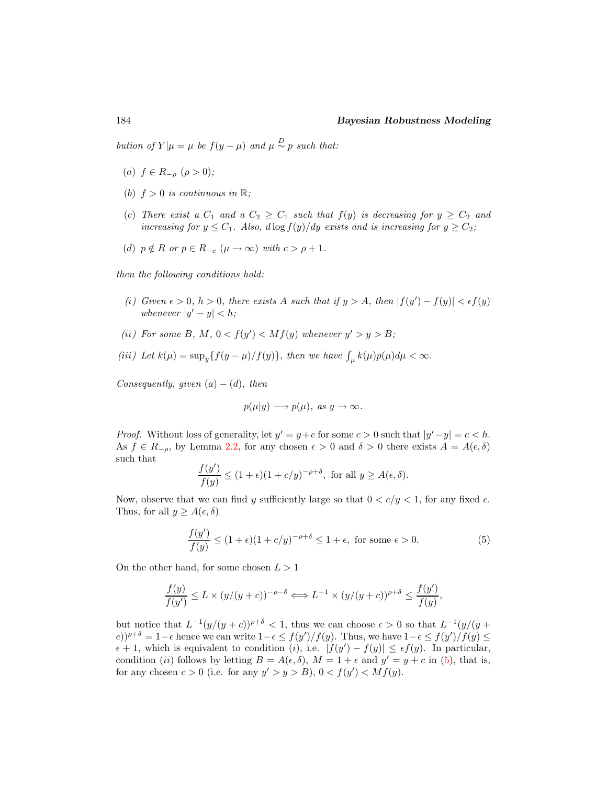bution of  $Y|\mu = \mu$  be  $f(y - \mu)$  and  $\mu \stackrel{D}{\sim} p$  such that:

- (a)  $f \in R_{-\rho}$  ( $\rho > 0$ );
- (b)  $f > 0$  is continuous in  $\mathbb{R}$ ;
- (c) There exist a  $C_1$  and a  $C_2 \geq C_1$  such that  $f(y)$  is decreasing for  $y \geq C_2$  and increasing for  $y \leq C_1$ . Also,  $d \log f(y)/dy$  exists and is increasing for  $y \geq C_2$ ;
- (d)  $p \notin R$  or  $p \in R_{-c}$   $(\mu \to \infty)$  with  $c > \rho + 1$ .

then the following conditions hold:

- (i) Given  $\epsilon > 0$ ,  $h > 0$ , there exists A such that if  $y > A$ , then  $|f(y') f(y)| < \epsilon f(y)$ whenever  $|y'-y| < h$ ;
- (ii) For some B, M,  $0 < f(y') < Mf(y)$  whenever  $y' > y > B$ ;
- (iii) Let  $k(\mu) = \sup_y \{ f(y \mu)/f(y) \}$ , then we have  $\int_{\mu} k(\mu)p(\mu)d\mu < \infty$ .

Consequently, given  $(a) - (d)$ , then

$$
p(\mu|y) \longrightarrow p(\mu), \text{ as } y \longrightarrow \infty.
$$

*Proof.* Without loss of generality, let  $y' = y + c$  for some  $c > 0$  such that  $|y' - y| = c < h$ . As  $f \in R_{-\rho}$ , by Lemma 2.2, for any chosen  $\epsilon > 0$  and  $\delta > 0$  there exists  $A = A(\epsilon, \delta)$ such that

$$
\frac{f(y')}{f(y)} \le (1+\epsilon)(1+c/y)^{-\rho+\delta}, \text{ for all } y \ge A(\epsilon,\delta).
$$

Now, observe that we can find y sufficiently large so that  $0 < c/y < 1$ , for any fixed c. Thus, for all  $y \geq A(\epsilon, \delta)$ 

$$
\frac{f(y')}{f(y)} \le (1+\epsilon)(1+c/y)^{-\rho+\delta} \le 1+\epsilon, \text{ for some } \epsilon > 0.
$$
 (5)

On the other hand, for some chosen  $L > 1$ 

$$
\frac{f(y)}{f(y')} \le L \times (y/(y+c))^{-\rho-\delta} \Longleftrightarrow L^{-1} \times (y/(y+c))^{\rho+\delta} \le \frac{f(y')}{f(y)},
$$

but notice that  $L^{-1}(y/(y+c))^{\rho+\delta} < 1$ , thus we can choose  $\epsilon > 0$  so that  $L^{-1}(y/(y+c))^{\rho+\delta}$  $(c)$ )<sup> $\rho+\delta = 1-\epsilon$ </sup> hence we can write  $1-\epsilon \leq f(y')/f(y)$ . Thus, we have  $1-\epsilon \leq f(y')/f(y) \leq$  $\epsilon + 1$ , which is equivalent to condition (i), i.e.  $|f(y') - f(y)| \leq \epsilon f(y)$ . In particular, condition (ii) follows by letting  $B = A(\epsilon, \delta)$ ,  $M = 1 + \epsilon$  and  $y' = y + c$  in (5), that is, for any chosen  $c > 0$  (i.e. for any  $y' > y > B$ ),  $0 < f(y') < Mf(y)$ .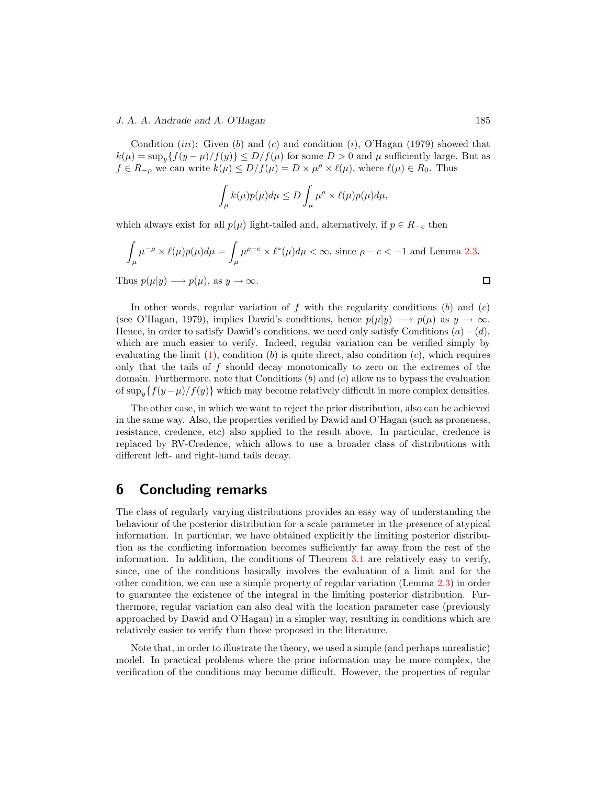Condition (*iii*): Given (*b*) and (*c*) and condition (*i*), O'Hagan (1979) showed that  $k(\mu) = \sup_{\mu} \{f(y - \mu)/f(y)\} \leq D/f(\mu)$  for some  $D > 0$  and  $\mu$  sufficiently large. But as  $f \in R_{-\rho}$  we can write  $k(\mu) \le D/f(\mu) = D \times \mu^{\rho} \times \ell(\mu)$ , where  $\ell(\mu) \in R_0$ . Thus

$$
\int_{\mu} k(\mu)p(\mu)d\mu \le D \int_{\mu} \mu^{\rho} \times \ell(\mu)p(\mu)d\mu,
$$

which always exist for all  $p(\mu)$  light-tailed and, alternatively, if  $p \in R_{-c}$  then

$$
\int_{\mu} \mu^{-\rho} \times \ell(\mu)p(\mu)d\mu = \int_{\mu} \mu^{\rho-c} \times \ell^*(\mu)d\mu < \infty, \text{ since } \rho - c < -1 \text{ and Lemma 2.3.}
$$

Thus  $p(\mu|y) \longrightarrow p(\mu)$ , as  $y \longrightarrow \infty$ .

In other words, regular variation of f with the regularity conditions  $(b)$  and  $(c)$ (see O'Hagan, 1979), implies Dawid's conditions, hence  $p(\mu|y) \rightarrow p(\mu)$  as  $y \rightarrow \infty$ . Hence, in order to satisfy Dawid's conditions, we need only satisfy Conditions  $(a)-(d)$ , which are much easier to verify. Indeed, regular variation can be verified simply by evaluating the limit  $(1)$ , condition  $(b)$  is quite direct, also condition  $(c)$ , which requires only that the tails of f should decay monotonically to zero on the extremes of the domain. Furthermore, note that Conditions  $(b)$  and  $(c)$  allow us to bypass the evaluation of sup<sub>y</sub> ${f(y-\mu)/f(y)}$  which may become relatively difficult in more complex densities.

The other case, in which we want to reject the prior distribution, also can be achieved in the same way. Also, the properties verified by Dawid and O'Hagan (such as proneness, resistance, credence, etc) also applied to the result above. In particular, credence is replaced by RV-Credence, which allows to use a broader class of distributions with different left- and right-hand tails decay.

# 6 Concluding remarks

The class of regularly varying distributions provides an easy way of understanding the behaviour of the posterior distribution for a scale parameter in the presence of atypical information. In particular, we have obtained explicitly the limiting posterior distribution as the conflicting information becomes sufficiently far away from the rest of the information. In addition, the conditions of Theorem 3.1 are relatively easy to verify, since, one of the conditions basically involves the evaluation of a limit and for the other condition, we can use a simple property of regular variation (Lemma 2.3) in order to guarantee the existence of the integral in the limiting posterior distribution. Furthermore, regular variation can also deal with the location parameter case (previously approached by Dawid and O'Hagan) in a simpler way, resulting in conditions which are relatively easier to verify than those proposed in the literature.

Note that, in order to illustrate the theory, we used a simple (and perhaps unrealistic) model. In practical problems where the prior information may be more complex, the verification of the conditions may become difficult. However, the properties of regular

 $\Box$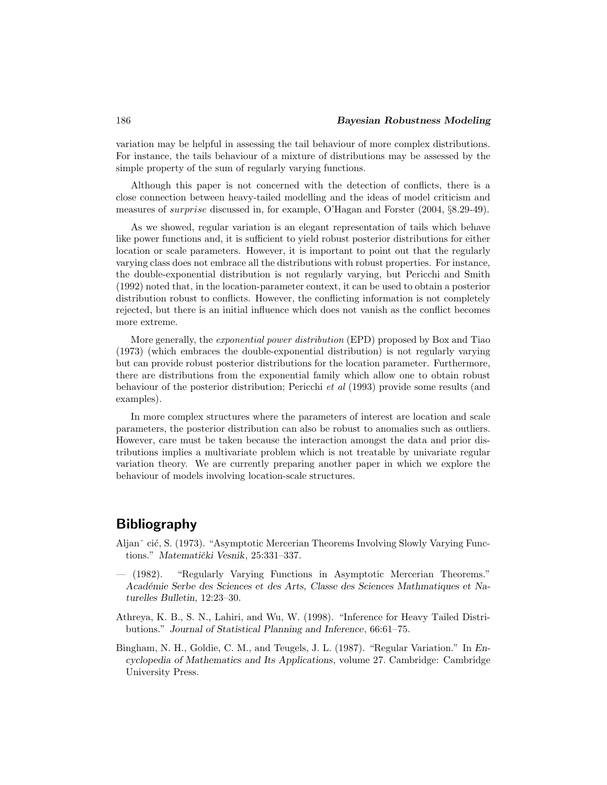variation may be helpful in assessing the tail behaviour of more complex distributions. For instance, the tails behaviour of a mixture of distributions may be assessed by the simple property of the sum of regularly varying functions.

Although this paper is not concerned with the detection of conflicts, there is a close connection between heavy-tailed modelling and the ideas of model criticism and measures of surprise discussed in, for example, O'Hagan and Forster (2004, §8.29-49).

As we showed, regular variation is an elegant representation of tails which behave like power functions and, it is sufficient to yield robust posterior distributions for either location or scale parameters. However, it is important to point out that the regularly varying class does not embrace all the distributions with robust properties. For instance, the double-exponential distribution is not regularly varying, but Pericchi and Smith (1992) noted that, in the location-parameter context, it can be used to obtain a posterior distribution robust to conflicts. However, the conflicting information is not completely rejected, but there is an initial influence which does not vanish as the conflict becomes more extreme.

More generally, the exponential power distribution (EPD) proposed by Box and Tiao (1973) (which embraces the double-exponential distribution) is not regularly varying but can provide robust posterior distributions for the location parameter. Furthermore, there are distributions from the exponential family which allow one to obtain robust behaviour of the posterior distribution; Pericchi et al (1993) provide some results (and examples).

In more complex structures where the parameters of interest are location and scale parameters, the posterior distribution can also be robust to anomalies such as outliers. However, care must be taken because the interaction amongst the data and prior distributions implies a multivariate problem which is not treatable by univariate regular variation theory. We are currently preparing another paper in which we explore the behaviour of models involving location-scale structures.

# **Bibliography**

- Aljan<sup>v</sup> cić, S. (1973). "Asymptotic Mercerian Theorems Involving Slowly Varying Functions." Matematički Vesnik, 25:331-337.
- (1982). "Regularly Varying Functions in Asymptotic Mercerian Theorems." Acad´emie Serbe des Sciences et des Arts, Classe des Sciences Mathmatiques et Naturelles Bulletin, 12:23–30.
- Athreya, K. B., S. N., Lahiri, and Wu, W. (1998). "Inference for Heavy Tailed Distributions." Journal of Statistical Planning and Inference, 66:61–75.
- Bingham, N. H., Goldie, C. M., and Teugels, J. L. (1987). "Regular Variation." In Encyclopedia of Mathematics and Its Applications, volume 27. Cambridge: Cambridge University Press.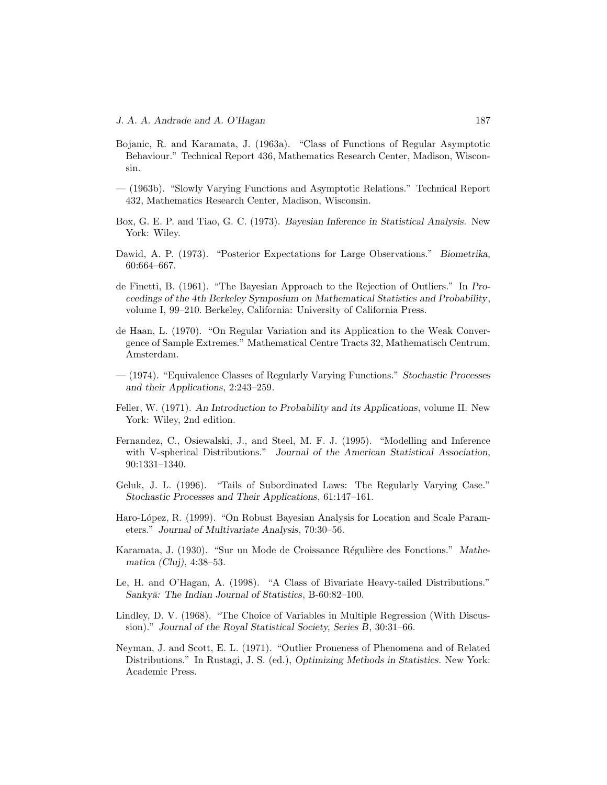- Bojanic, R. and Karamata, J. (1963a). "Class of Functions of Regular Asymptotic Behaviour." Technical Report 436, Mathematics Research Center, Madison, Wisconsin.
- (1963b). "Slowly Varying Functions and Asymptotic Relations." Technical Report 432, Mathematics Research Center, Madison, Wisconsin.
- Box, G. E. P. and Tiao, G. C. (1973). Bayesian Inference in Statistical Analysis. New York: Wiley.
- Dawid, A. P. (1973). "Posterior Expectations for Large Observations." Biometrika, 60:664–667.
- de Finetti, B. (1961). "The Bayesian Approach to the Rejection of Outliers." In Proceedings of the 4th Berkeley Symposium on Mathematical Statistics and Probability, volume I, 99–210. Berkeley, California: University of California Press.
- de Haan, L. (1970). "On Regular Variation and its Application to the Weak Convergence of Sample Extremes." Mathematical Centre Tracts 32, Mathematisch Centrum, Amsterdam.
- (1974). "Equivalence Classes of Regularly Varying Functions." Stochastic Processes and their Applications, 2:243–259.
- Feller, W. (1971). An Introduction to Probability and its Applications, volume II. New York: Wiley, 2nd edition.
- Fernandez, C., Osiewalski, J., and Steel, M. F. J. (1995). "Modelling and Inference with V-spherical Distributions." Journal of the American Statistical Association, 90:1331–1340.
- Geluk, J. L. (1996). "Tails of Subordinated Laws: The Regularly Varying Case." Stochastic Processes and Their Applications, 61:147–161.
- Haro-López, R. (1999). "On Robust Bayesian Analysis for Location and Scale Parameters." Journal of Multivariate Analysis, 70:30–56.
- Karamata, J. (1930). "Sur un Mode de Croissance Régulière des Fonctions." Mathematica (Cluj), 4:38–53.
- Le, H. and O'Hagan, A. (1998). "A Class of Bivariate Heavy-tailed Distributions." Sankyā: The Indian Journal of Statistics, B-60:82-100.
- Lindley, D. V. (1968). "The Choice of Variables in Multiple Regression (With Discussion)." Journal of the Royal Statistical Society, Series B, 30:31–66.
- Neyman, J. and Scott, E. L. (1971). "Outlier Proneness of Phenomena and of Related Distributions." In Rustagi, J. S. (ed.), Optimizing Methods in Statistics. New York: Academic Press.